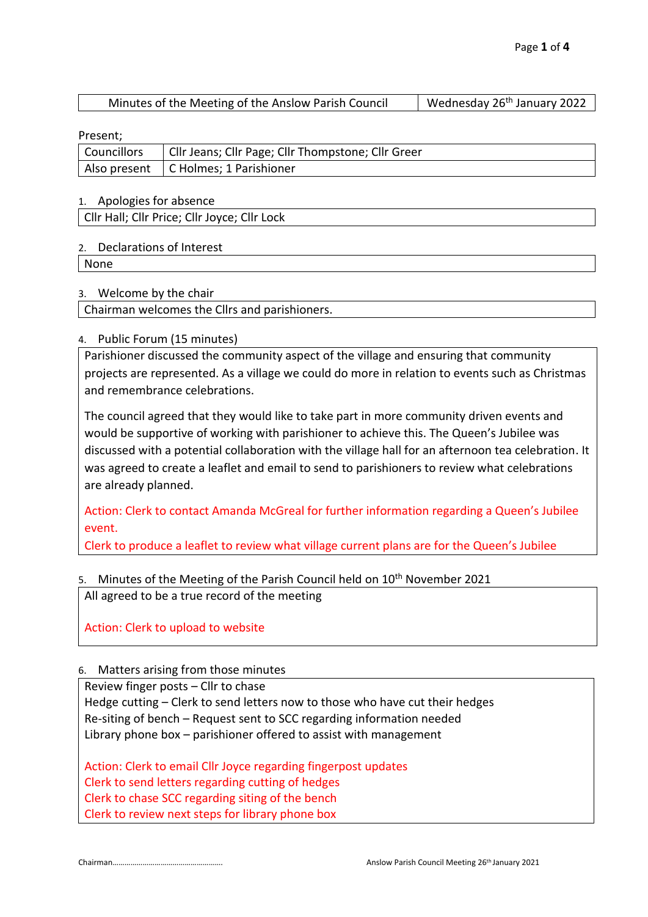| Minutes of the Meeting of the Anslow Parish Council | Wednesday 26 <sup>th</sup> January 2022 |
|-----------------------------------------------------|-----------------------------------------|
|-----------------------------------------------------|-----------------------------------------|

Present;

| . . <del>.</del>   |                                                    |
|--------------------|----------------------------------------------------|
| <b>Councillors</b> | Cllr Jeans; Cllr Page; Cllr Thompstone; Cllr Greer |
|                    | Also present   C Holmes; 1 Parishioner             |

#### 1. Apologies for absence

Cllr Hall; Cllr Price; Cllr Joyce; Cllr Lock

#### 2. Declarations of Interest

None

#### 3. Welcome by the chair

Chairman welcomes the Cllrs and parishioners.

#### 4. Public Forum (15 minutes)

Parishioner discussed the community aspect of the village and ensuring that community projects are represented. As a village we could do more in relation to events such as Christmas and remembrance celebrations.

The council agreed that they would like to take part in more community driven events and would be supportive of working with parishioner to achieve this. The Queen's Jubilee was discussed with a potential collaboration with the village hall for an afternoon tea celebration. It was agreed to create a leaflet and email to send to parishioners to review what celebrations are already planned.

Action: Clerk to contact Amanda McGreal for further information regarding a Queen's Jubilee event.

Clerk to produce a leaflet to review what village current plans are for the Queen's Jubilee

## 5. Minutes of the Meeting of the Parish Council held on 10<sup>th</sup> November 2021

All agreed to be a true record of the meeting

Action: Clerk to upload to website

## 6. Matters arising from those minutes

Review finger posts – Cllr to chase

Hedge cutting – Clerk to send letters now to those who have cut their hedges Re-siting of bench – Request sent to SCC regarding information needed Library phone box – parishioner offered to assist with management

Action: Clerk to email Cllr Joyce regarding fingerpost updates Clerk to send letters regarding cutting of hedges Clerk to chase SCC regarding siting of the bench Clerk to review next steps for library phone box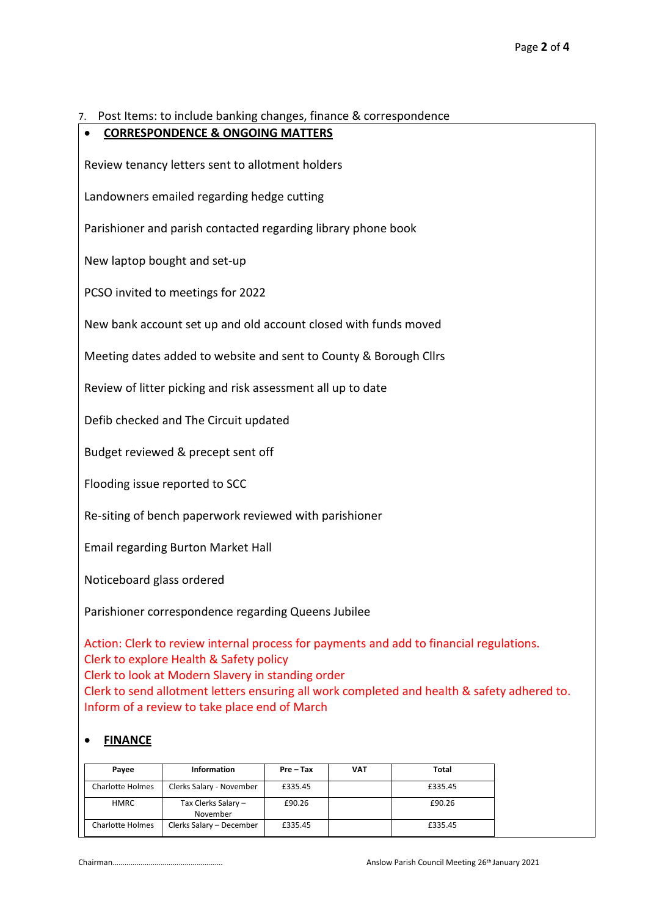7. Post Items: to include banking changes, finance & correspondence

# • **CORRESPONDENCE & ONGOING MATTERS**

Review tenancy letters sent to allotment holders

Landowners emailed regarding hedge cutting

Parishioner and parish contacted regarding library phone book

New laptop bought and set-up

PCSO invited to meetings for 2022

New bank account set up and old account closed with funds moved

Meeting dates added to website and sent to County & Borough Cllrs

Review of litter picking and risk assessment all up to date

Defib checked and The Circuit updated

Budget reviewed & precept sent off

Flooding issue reported to SCC

Re-siting of bench paperwork reviewed with parishioner

Email regarding Burton Market Hall

Noticeboard glass ordered

Parishioner correspondence regarding Queens Jubilee

Action: Clerk to review internal process for payments and add to financial regulations. Clerk to explore Health & Safety policy Clerk to look at Modern Slavery in standing order Clerk to send allotment letters ensuring all work completed and health & safety adhered to. Inform of a review to take place end of March

## • **FINANCE**

| Pavee                   | <b>Information</b>              | Pre – Tax | <b>VAT</b> | Total   |
|-------------------------|---------------------------------|-----------|------------|---------|
| Charlotte Holmes        | Clerks Salary - November        | £335.45   |            | £335.45 |
| <b>HMRC</b>             | Tax Clerks Salary -<br>November | £90.26    |            | £90.26  |
| <b>Charlotte Holmes</b> | Clerks Salary - December        | £335.45   |            | £335.45 |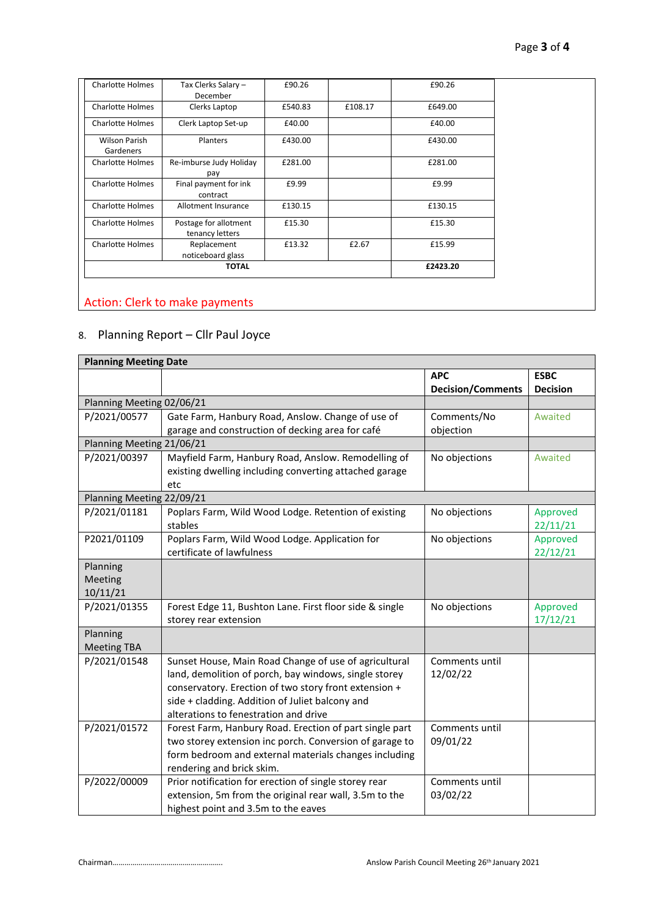| <b>Charlotte Holmes</b>    | Tax Clerks Salary -<br>December          | £90.26  |          | £90.26  |
|----------------------------|------------------------------------------|---------|----------|---------|
| Charlotte Holmes           | Clerks Laptop                            | £540.83 | £108.17  | £649.00 |
| <b>Charlotte Holmes</b>    | Clerk Laptop Set-up                      | £40.00  |          | £40.00  |
| Wilson Parish<br>Gardeners | Planters                                 | £430.00 |          | £430.00 |
| <b>Charlotte Holmes</b>    | Re-imburse Judy Holiday<br>pay           | £281.00 |          | £281.00 |
| <b>Charlotte Holmes</b>    | Final payment for ink<br>contract        | £9.99   |          | £9.99   |
| <b>Charlotte Holmes</b>    | Allotment Insurance                      | £130.15 |          | £130.15 |
| <b>Charlotte Holmes</b>    | Postage for allotment<br>tenancy letters | £15.30  |          | £15.30  |
| <b>Charlotte Holmes</b>    | Replacement<br>noticeboard glass         | £13.32  | £2.67    | £15.99  |
| <b>TOTAL</b>               |                                          |         | £2423.20 |         |

## Action: Clerk to make payments

## 8. Planning Report – Cllr Paul Joyce

| <b>Planning Meeting Date</b>                          |                                                               |                          |                 |  |  |  |
|-------------------------------------------------------|---------------------------------------------------------------|--------------------------|-----------------|--|--|--|
|                                                       |                                                               | <b>APC</b>               | <b>ESBC</b>     |  |  |  |
|                                                       |                                                               | <b>Decision/Comments</b> | <b>Decision</b> |  |  |  |
| Planning Meeting 02/06/21                             |                                                               |                          |                 |  |  |  |
| P/2021/00577                                          | Gate Farm, Hanbury Road, Anslow. Change of use of             | Comments/No              | Awaited         |  |  |  |
|                                                       | garage and construction of decking area for café              | objection                |                 |  |  |  |
| Planning Meeting 21/06/21                             |                                                               |                          |                 |  |  |  |
| P/2021/00397                                          | Mayfield Farm, Hanbury Road, Anslow. Remodelling of           |                          | Awaited         |  |  |  |
|                                                       | existing dwelling including converting attached garage<br>etc |                          |                 |  |  |  |
| Planning Meeting 22/09/21                             |                                                               |                          |                 |  |  |  |
| P/2021/01181                                          | Poplars Farm, Wild Wood Lodge. Retention of existing          | No objections            | Approved        |  |  |  |
|                                                       | stables                                                       |                          | 22/11/21        |  |  |  |
| P2021/01109                                           | Poplars Farm, Wild Wood Lodge. Application for                | No objections            | Approved        |  |  |  |
|                                                       | certificate of lawfulness                                     |                          | 22/12/21        |  |  |  |
| Planning                                              |                                                               |                          |                 |  |  |  |
| Meeting                                               |                                                               |                          |                 |  |  |  |
| 10/11/21                                              |                                                               |                          |                 |  |  |  |
| P/2021/01355                                          | Forest Edge 11, Bushton Lane. First floor side & single       | No objections            | Approved        |  |  |  |
|                                                       | storey rear extension                                         |                          | 17/12/21        |  |  |  |
| Planning                                              |                                                               |                          |                 |  |  |  |
| <b>Meeting TBA</b>                                    |                                                               |                          |                 |  |  |  |
| P/2021/01548                                          | Sunset House, Main Road Change of use of agricultural         | Comments until           |                 |  |  |  |
|                                                       | land, demolition of porch, bay windows, single storey         | 12/02/22                 |                 |  |  |  |
|                                                       | conservatory. Erection of two story front extension +         |                          |                 |  |  |  |
|                                                       | side + cladding. Addition of Juliet balcony and               |                          |                 |  |  |  |
|                                                       | alterations to fenestration and drive                         |                          |                 |  |  |  |
| P/2021/01572                                          | Forest Farm, Hanbury Road. Erection of part single part       | Comments until           |                 |  |  |  |
|                                                       | two storey extension inc porch. Conversion of garage to       | 09/01/22                 |                 |  |  |  |
| form bedroom and external materials changes including |                                                               |                          |                 |  |  |  |
|                                                       | rendering and brick skim.                                     |                          |                 |  |  |  |
| P/2022/00009                                          | Prior notification for erection of single storey rear         | Comments until           |                 |  |  |  |
|                                                       | extension, 5m from the original rear wall, 3.5m to the        | 03/02/22                 |                 |  |  |  |
|                                                       | highest point and 3.5m to the eaves                           |                          |                 |  |  |  |